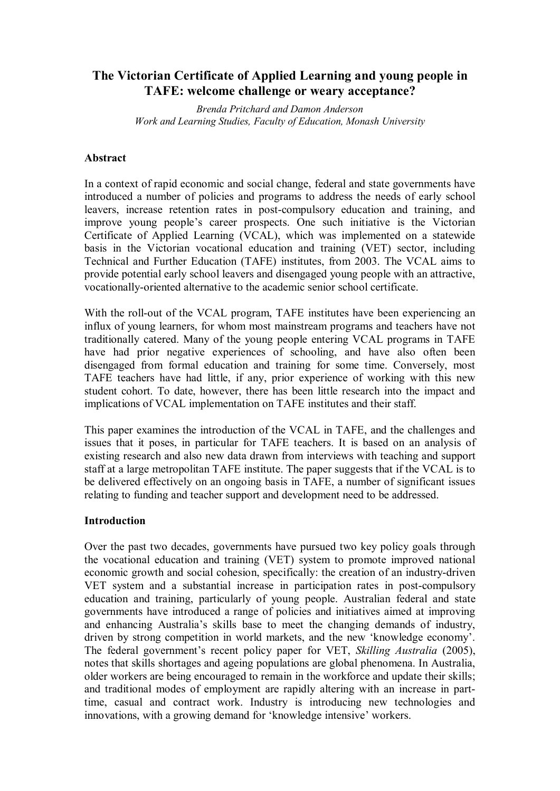# **The Victorian Certificate of Applied Learning and young people in TAFE: welcome challenge or weary acceptance?**

*Brenda Pritchard and Damon Anderson Work and Learning Studies, Faculty of Education, Monash University*

### **Abstract**

In a context of rapid economic and social change, federal and state governments have introduced a number of policies and programs to address the needs of early school leavers, increase retention rates in post-compulsory education and training, and improve young people's career prospects. One such initiative is the Victorian Certificate of Applied Learning (VCAL), which was implemented on a statewide basis in the Victorian vocational education and training (VET) sector, including Technical and Further Education (TAFE) institutes, from 2003. The VCAL aims to provide potential early school leavers and disengaged young people with an attractive, vocationally-oriented alternative to the academic senior school certificate.

With the roll-out of the VCAL program, TAFE institutes have been experiencing an influx of young learners, for whom most mainstream programs and teachers have not traditionally catered. Many of the young people entering VCAL programs in TAFE have had prior negative experiences of schooling, and have also often been disengaged from formal education and training for some time. Conversely, most TAFE teachers have had little, if any, prior experience of working with this new student cohort. To date, however, there has been little research into the impact and implications of VCAL implementation on TAFE institutes and their staff.

This paper examines the introduction of the VCAL in TAFE, and the challenges and issues that it poses, in particular for TAFE teachers. It is based on an analysis of existing research and also new data drawn from interviews with teaching and support staff at a large metropolitan TAFE institute. The paper suggests that if the VCAL is to be delivered effectively on an ongoing basis in TAFE, a number of significant issues relating to funding and teacher support and development need to be addressed.

#### **Introduction**

Over the past two decades, governments have pursued two key policy goals through the vocational education and training (VET) system to promote improved national economic growth and social cohesion, specifically: the creation of an industry-driven VET system and a substantial increase in participation rates in post-compulsory education and training, particularly of young people. Australian federal and state governments have introduced a range of policies and initiatives aimed at improving and enhancing Australia's skills base to meet the changing demands of industry, driven by strong competition in world markets, and the new 'knowledge economy'. The federal government's recent policy paper for VET, *Skilling Australia* (2005), notes that skills shortages and ageing populations are global phenomena. In Australia, older workers are being encouraged to remain in the workforce and update their skills; and traditional modes of employment are rapidly altering with an increase in parttime, casual and contract work. Industry is introducing new technologies and innovations, with a growing demand for 'knowledge intensive' workers.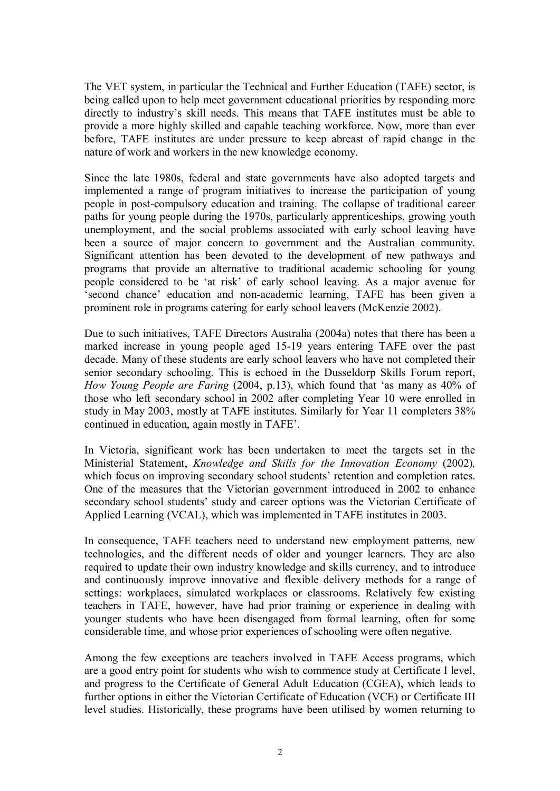The VET system, in particular the Technical and Further Education (TAFE) sector, is being called upon to help meet government educational priorities by responding more directly to industry's skill needs. This means that TAFE institutes must be able to provide a more highly skilled and capable teaching workforce. Now, more than ever before, TAFE institutes are under pressure to keep abreast of rapid change in the nature of work and workers in the new knowledge economy.

Since the late 1980s, federal and state governments have also adopted targets and implemented a range of program initiatives to increase the participation of young people in post-compulsory education and training. The collapse of traditional career paths for young people during the 1970s, particularly apprenticeships, growing youth unemployment, and the social problems associated with early school leaving have been a source of major concern to government and the Australian community. Significant attention has been devoted to the development of new pathways and programs that provide an alternative to traditional academic schooling for young people considered to be 'at risk' of early school leaving. As a major avenue for 'second chance' education and non-academic learning, TAFE has been given a prominent role in programs catering for early school leavers (McKenzie 2002).

Due to such initiatives, TAFE Directors Australia (2004a) notes that there has been a marked increase in young people aged 15-19 years entering TAFE over the past decade. Many of these students are early school leavers who have not completed their senior secondary schooling. This is echoed in the Dusseldorp Skills Forum report, *How Young People are Faring* (2004, p.13), which found that 'as many as 40% of those who left secondary school in 2002 after completing Year 10 were enrolled in study in May 2003, mostly at TAFE institutes. Similarly for Year 11 completers 38% continued in education, again mostly in TAFE'.

In Victoria, significant work has been undertaken to meet the targets set in the Ministerial Statement, *Knowledge and Skills for the Innovation Economy* (2002)*,* which focus on improving secondary school students' retention and completion rates. One of the measures that the Victorian government introduced in 2002 to enhance secondary school students' study and career options was the Victorian Certificate of Applied Learning (VCAL), which was implemented in TAFE institutes in 2003.

In consequence, TAFE teachers need to understand new employment patterns, new technologies, and the different needs of older and younger learners. They are also required to update their own industry knowledge and skills currency, and to introduce and continuously improve innovative and flexible delivery methods for a range of settings: workplaces, simulated workplaces or classrooms. Relatively few existing teachers in TAFE, however, have had prior training or experience in dealing with younger students who have been disengaged from formal learning, often for some considerable time, and whose prior experiences of schooling were often negative.

Among the few exceptions are teachers involved in TAFE Access programs, which are a good entry point for students who wish to commence study at Certificate I level, and progress to the Certificate of General Adult Education (CGEA), which leads to further options in either the Victorian Certificate of Education (VCE) or Certificate III level studies. Historically, these programs have been utilised by women returning to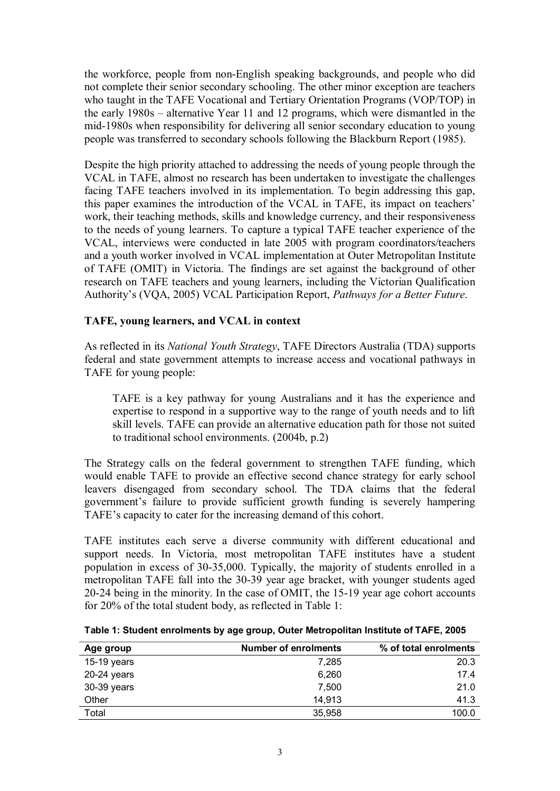the workforce, people from non-English speaking backgrounds, and people who did not complete their senior secondary schooling. The other minor exception are teachers who taught in the TAFE Vocational and Tertiary Orientation Programs (VOP/TOP) in the early 1980s – alternative Year 11 and 12 programs, which were dismantled in the mid-1980s when responsibility for delivering all senior secondary education to young people was transferred to secondary schools following the Blackburn Report (1985).

Despite the high priority attached to addressing the needs of young people through the VCAL in TAFE, almost no research has been undertaken to investigate the challenges facing TAFE teachers involved in its implementation. To begin addressing this gap, this paper examines the introduction of the VCAL in TAFE, its impact on teachers' work, their teaching methods, skills and knowledge currency, and their responsiveness to the needs of young learners. To capture a typical TAFE teacher experience of the VCAL, interviews were conducted in late 2005 with program coordinators/teachers and a youth worker involved in VCAL implementation at Outer Metropolitan Institute of TAFE (OMIT) in Victoria. The findings are set against the background of other research on TAFE teachers and young learners, including the Victorian Qualification Authority's (VQA, 2005) VCAL Participation Report, *Pathways for a Better Future*.

## **TAFE, young learners, and VCAL in context**

As reflected in its *National Youth Strategy*, TAFE Directors Australia (TDA) supports federal and state government attempts to increase access and vocational pathways in TAFE for young people:

TAFE is a key pathway for young Australians and it has the experience and expertise to respond in a supportive way to the range of youth needs and to lift skill levels. TAFE can provide an alternative education path for those not suited to traditional school environments. (2004b, p.2)

The Strategy calls on the federal government to strengthen TAFE funding, which would enable TAFE to provide an effective second chance strategy for early school leavers disengaged from secondary school. The TDA claims that the federal government's failure to provide sufficient growth funding is severely hampering TAFE's capacity to cater for the increasing demand of this cohort.

TAFE institutes each serve a diverse community with different educational and support needs. In Victoria, most metropolitan TAFE institutes have a student population in excess of 30-35,000. Typically, the majority of students enrolled in a metropolitan TAFE fall into the 30-39 year age bracket, with younger students aged 20-24 being in the minority. In the case of OMIT, the 15-19 year age cohort accounts for 20% of the total student body, as reflected in Table 1:

| Table 1: Student enrolments by age group, Outer Metropolitan Institute of TAFE, 2005 |
|--------------------------------------------------------------------------------------|
|                                                                                      |

| Age group     | <b>Number of enrolments</b> | % of total enrolments |
|---------------|-----------------------------|-----------------------|
| $15-19$ years | 7,285                       | 20.3                  |
| 20-24 years   | 6,260                       | 17.4                  |
| 30-39 years   | 7,500                       | 21.0                  |
| Other         | 14.913                      | 41.3                  |
| Total         | 35.958                      | 100.0                 |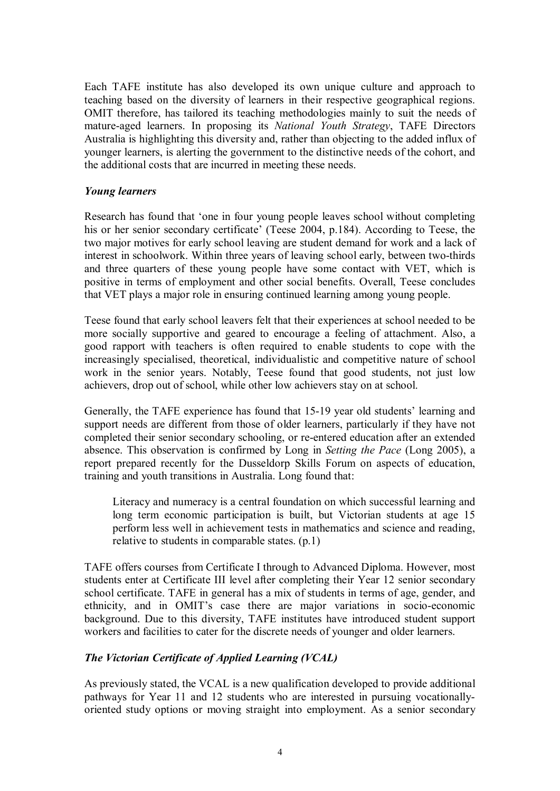Each TAFE institute has also developed its own unique culture and approach to teaching based on the diversity of learners in their respective geographical regions. OMIT therefore, has tailored its teaching methodologies mainly to suit the needs of mature-aged learners. In proposing its *National Youth Strategy*, TAFE Directors Australia is highlighting this diversity and, rather than objecting to the added influx of younger learners, is alerting the government to the distinctive needs of the cohort, and the additional costs that are incurred in meeting these needs.

## *Young learners*

Research has found that 'one in four young people leaves school without completing his or her senior secondary certificate' (Teese 2004, p.184). According to Teese, the two major motives for early school leaving are student demand for work and a lack of interest in schoolwork. Within three years of leaving school early, between two-thirds and three quarters of these young people have some contact with VET, which is positive in terms of employment and other social benefits. Overall, Teese concludes that VET plays a major role in ensuring continued learning among young people.

Teese found that early school leavers felt that their experiences at school needed to be more socially supportive and geared to encourage a feeling of attachment. Also, a good rapport with teachers is often required to enable students to cope with the increasingly specialised, theoretical, individualistic and competitive nature of school work in the senior years. Notably, Teese found that good students, not just low achievers, drop out of school, while other low achievers stay on at school.

Generally, the TAFE experience has found that 1519 year old students' learning and support needs are different from those of older learners, particularly if they have not completed their senior secondary schooling, or re-entered education after an extended absence. This observation is confirmed by Long in *Setting the Pace* (Long 2005), a report prepared recently for the Dusseldorp Skills Forum on aspects of education, training and youth transitions in Australia. Long found that:

Literacy and numeracy is a central foundation on which successful learning and long term economic participation is built, but Victorian students at age 15 perform less well in achievement tests in mathematics and science and reading, relative to students in comparable states. (p.1)

TAFE offers courses from Certificate I through to Advanced Diploma. However, most students enter at Certificate III level after completing their Year 12 senior secondary school certificate. TAFE in general has a mix of students in terms of age, gender, and ethnicity, and in OMIT's case there are major variations in socio-economic background. Due to this diversity, TAFE institutes have introduced student support workers and facilities to cater for the discrete needs of younger and older learners.

## *The Victorian Certificate of Applied Learning (VCAL)*

As previously stated, the VCAL is a new qualification developed to provide additional pathways for Year 11 and 12 students who are interested in pursuing vocationallyoriented study options or moving straight into employment. As a senior secondary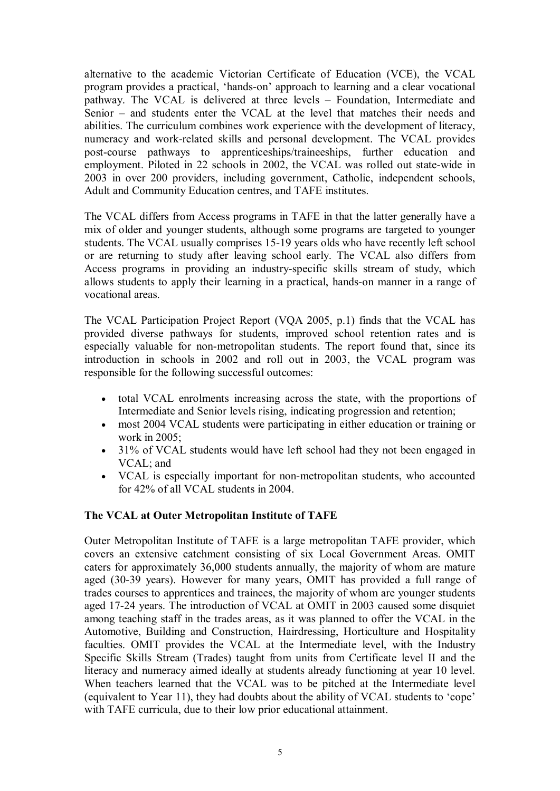alternative to the academic Victorian Certificate of Education (VCE), the VCAL program provides a practical, 'hands-on' approach to learning and a clear vocational pathway. The VCAL is delivered at three levels – Foundation, Intermediate and Senior – and students enter the VCAL at the level that matches their needs and abilities. The curriculum combines work experience with the development of literacy, numeracy and work-related skills and personal development. The VCAL provides post-course pathways to apprenticeships/traineeships, further education and employment. Piloted in 22 schools in 2002, the VCAL was rolled out state-wide in 2003 in over 200 providers, including government, Catholic, independent schools, Adult and Community Education centres, and TAFE institutes.

The VCAL differs from Access programs in TAFE in that the latter generally have a mix of older and younger students, although some programs are targeted to younger students. The VCAL usually comprises 15-19 years olds who have recently left school or are returning to study after leaving school early. The VCAL also differs from Access programs in providing an industry-specific skills stream of study, which allows students to apply their learning in a practical, hands-on manner in a range of vocational areas.

The VCAL Participation Project Report (VQA 2005, p.1) finds that the VCAL has provided diverse pathways for students, improved school retention rates and is especially valuable for non-metropolitan students. The report found that, since its introduction in schools in 2002 and roll out in 2003, the VCAL program was responsible for the following successful outcomes:

- · total VCAL enrolments increasing across the state, with the proportions of Intermediate and Senior levels rising, indicating progression and retention;
- · most 2004 VCAL students were participating in either education or training or work in 2005;
- 31% of VCAL students would have left school had they not been engaged in VCAL; and
- VCAL is especially important for non-metropolitan students, who accounted for 42% of all VCAL students in 2004.

#### **The VCAL atOuter Metropolitan Institute of TAFE**

Outer Metropolitan Institute of TAFE is a large metropolitan TAFE provider, which covers an extensive catchment consisting of six Local Government Areas. OMIT caters for approximately 36,000 students annually, the majority of whom are mature aged (30-39 years). However for many years, OMIT has provided a full range of trades courses to apprentices and trainees, the majority of whom are younger students aged 1724 years. The introduction of VCAL at OMIT in 2003 caused some disquiet among teaching staff in the trades areas, as it was planned to offer the VCAL in the Automotive, Building and Construction, Hairdressing, Horticulture and Hospitality faculties. OMIT provides the VCAL at the Intermediate level, with the Industry Specific Skills Stream (Trades) taught from units from Certificate level II and the literacy and numeracy aimed ideally at students already functioning at year 10 level. When teachers learned that the VCAL was to be pitched at the Intermediate level (equivalent to Year 11), they had doubts about the ability of VCAL students to 'cope' with TAFE curricula, due to their low prior educational attainment.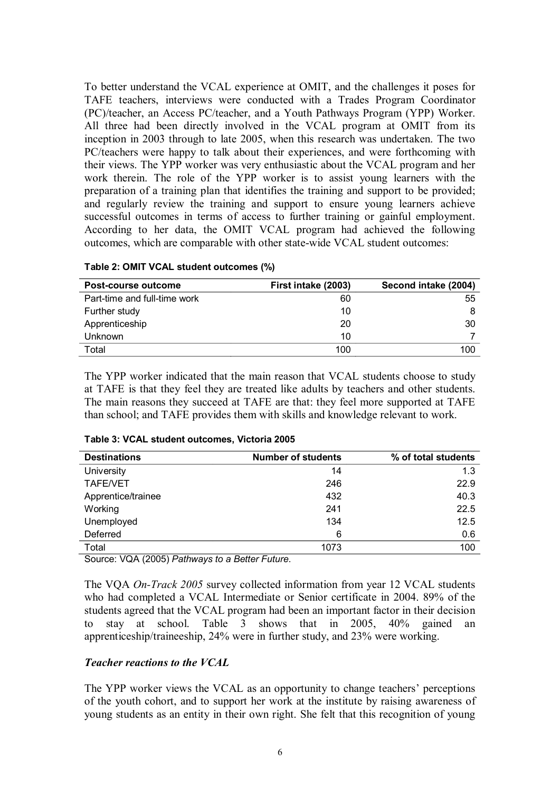To better understand the VCAL experience at OMIT, and the challenges it poses for TAFE teachers, interviews were conducted with a Trades Program Coordinator (PC)/teacher, an Access PC/teacher, and a Youth Pathways Program (YPP) Worker. All three had been directly involved in the VCAL program at OMIT from its inception in 2003 through to late 2005, when this research was undertaken. The two PC/teachers were happy to talk about their experiences, and were forthcoming with their views. The YPP worker was very enthusiastic about the VCAL program and her work therein. The role of the YPP worker is to assist young learners with the preparation of a training plan that identifies the training and support to be provided; and regularly review the training and support to ensure young learners achieve successful outcomes in terms of access to further training or gainful employment. According to her data, the OMIT VCAL program had achieved the following outcomes, which are comparable with other state-wide VCAL student outcomes:

| Post-course outcome          | First intake (2003) | Second intake (2004) |
|------------------------------|---------------------|----------------------|
| Part-time and full-time work | 60                  | 55                   |
| Further study                | 10                  |                      |
| Apprenticeship               | 20                  | 30                   |
| <b>Unknown</b>               | 10                  |                      |
| Total                        | 100                 | 100                  |

| Table 2: OMIT VCAL student outcomes (%) |  |
|-----------------------------------------|--|
|-----------------------------------------|--|

The YPP worker indicated that the main reason that VCAL students choose to study at TAFE is that they feel they are treated like adults by teachers and other students. The main reasons they succeed at TAFE are that: they feel more supported at TAFE than school; and TAFE provides them with skills and knowledge relevant to work.

| <b>Destinations</b> | <b>Number of students</b> | % of total students |
|---------------------|---------------------------|---------------------|
| University          | 14                        | 1.3                 |
| <b>TAFE/VET</b>     | 246                       | 22.9                |
| Apprentice/trainee  | 432                       | 40.3                |
| Working             | 241                       | 22.5                |
| Unemployed          | 134                       | 12.5                |
| Deferred            | 6                         | 0.6                 |
| Total               | 1073                      | 100                 |

**Table 3: VCAL student outcomes, Victoria 2005**

Source: VQA (2005) *Pathways to a Better Future*.

The VOA *On-Track* 2005 survey collected information from year 12 VCAL students who had completed a VCAL Intermediate or Senior certificate in 2004. 89% of the students agreed that the VCAL program had been an important factor in their decision to stay at school. Table 3 shows that in 2005, 40% gained an apprenticeship/traineeship, 24% were in further study, and 23% were working.

### *Teacher reactions to the VCAL*

The YPP worker views the VCAL as an opportunity to change teachers' perceptions of the youth cohort, and to support her work at the institute by raising awareness of young students as an entity in their own right. She felt that this recognition of young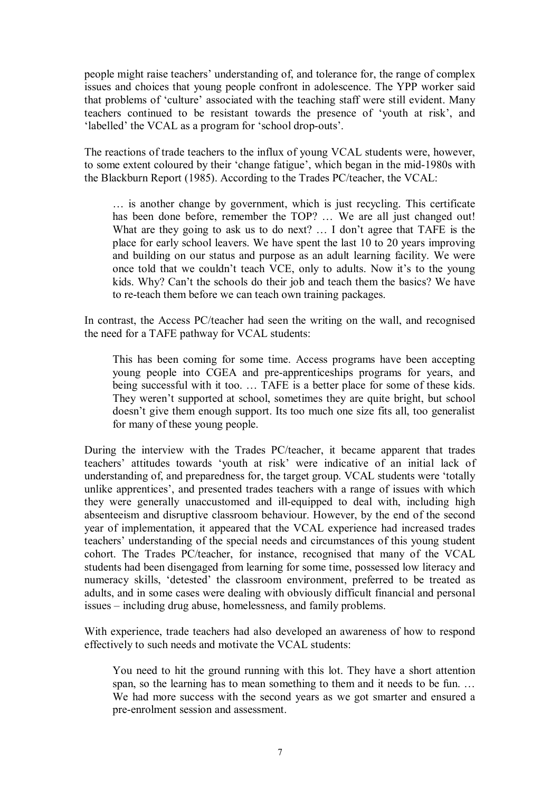people might raise teachers' understanding of, and tolerance for, the range of complex issues and choices that young people confront in adolescence. The YPP worker said that problems of 'culture' associated with the teaching staff were still evident. Many teachers continued to be resistant towards the presence of 'youth at risk', and 'labelled' the VCAL as a program for 'school drop-outs'.

The reactions of trade teachers to the influx of young VCAL students were, however, to some extent coloured by their 'change fatigue', which began in the mid-1980s with the Blackburn Report (1985). According to the Trades PC/teacher, the VCAL:

… is another change by government, which is just recycling. This certificate has been done before, remember the TOP? ... We are all just changed out! What are they going to ask us to do next? ... I don't agree that TAFE is the place for early school leavers. We have spent the last 10 to 20 years improving and building on our status and purpose as an adult learning facility. We were once told that we couldn't teach VCE, only to adults. Now it's to the young kids. Why? Can't the schools do their job and teach them the basics? We have to re-teach them before we can teach own training packages.

In contrast, the Access PC/teacher had seen the writing on the wall, and recognised the need for a TAFE pathway for VCAL students:

This has been coming for some time. Access programs have been accepting young people into CGEA and pre-apprenticeships programs for years, and being successful with it too. … TAFE is a better place for some of these kids. They weren't supported at school, sometimes they are quite bright, but school doesn't give them enough support. Its too much one size fits all, too generalist for many of these young people.

During the interview with the Trades PC/teacher, it became apparent that trades teachers' attitudes towards 'youth at risk' were indicative of an initial lack of understanding of, and preparedness for, the target group. VCAL students were 'totally unlike apprentices', and presented trades teachers with a range of issues with which they were generally unaccustomed and ill-equipped to deal with, including high absenteeism and disruptive classroom behaviour. However, by the end of the second year of implementation, it appeared that the VCAL experience had increased trades teachers' understanding of the special needs and circumstances of this young student cohort. The Trades PC/teacher, for instance, recognised that many of the VCAL students had been disengaged from learning for some time, possessed low literacy and numeracy skills, 'detested' the classroom environment, preferred to be treated as adults, and in some cases were dealing with obviously difficult financial and personal issues – including drug abuse, homelessness, and family problems.

With experience, trade teachers had also developed an awareness of how to respond effectively to such needs and motivate the VCAL students:

You need to hit the ground running with this lot. They have a short attention span, so the learning has to mean something to them and it needs to be fun... We had more success with the second vears as we got smarter and ensured a pre-enrolment session and assessment.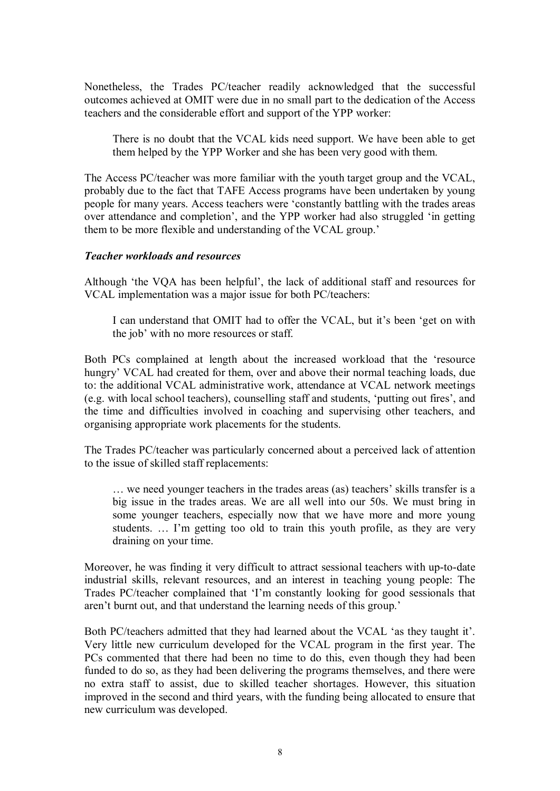Nonetheless, the Trades PC/teacher readily acknowledged that the successful outcomes achieved at OMIT were due in no small part to the dedication of the Access teachers and the considerable effort and support of the YPP worker:

There is no doubt that the VCAL kids need support. We have been able to get them helped by the YPP Worker and she has been very good with them.

The Access PC/teacher was more familiar with the youth target group and the VCAL, probably due to the fact that TAFE Access programs have been undertaken by young people for many years. Access teachers were 'constantly battling with the trades areas over attendance and completion', and the YPP worker had also struggled 'in getting them to be more flexible and understanding of the VCAL group.'

#### *Teacher workloads and resources*

Although 'the VQA has been helpful', the lack of additional staff and resources for VCAL implementation was a major issue for both PC/teachers:

I can understand that OMIT had to offer the VCAL, but it's been 'get on with the job' with no more resources or staff.

Both PCs complained at length about the increased workload that the 'resource hungry' VCAL had created for them, over and above their normal teaching loads, due to: the additional VCAL administrative work, attendance at VCAL network meetings (e.g. with local school teachers), counselling staff and students, 'putting out fires', and the time and difficulties involved in coaching and supervising other teachers, and organising appropriate work placements for the students.

The Trades PC/teacher was particularly concerned about a perceived lack of attention to the issue of skilled staff replacements:

… we need younger teachers in the trades areas (as) teachers' skills transfer is a big issue in the trades areas. We are all well into our 50s. We must bring in some younger teachers, especially now that we have more and more young students. … I'm getting too old to train this youth profile, as they are very draining on your time.

Moreover, he was finding it very difficult to attract sessional teachers with up-to-date industrial skills, relevant resources, and an interest in teaching young people: The Trades PC/teacher complained that 'I'm constantly looking for good sessionals that aren't burnt out, and that understand the learning needs of this group.'

Both PC/teachers admitted that they had learned about the VCAL 'as they taught it'. Very little new curriculum developed for the VCAL program in the first year. The PCs commented that there had been no time to do this, even though they had been funded to do so, as they had been delivering the programs themselves, and there were no extra staff to assist, due to skilled teacher shortages. However, this situation improved in the second and third years, with the funding being allocated to ensure that new curriculum was developed.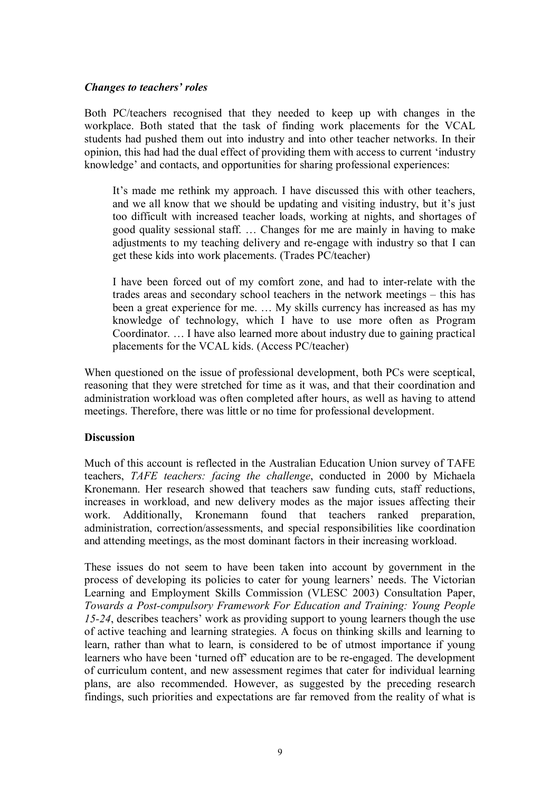#### *Changes to teachers' roles*

Both PC/teachers recognised that they needed to keep up with changes in the workplace. Both stated that the task of finding work placements for the VCAL students had pushed them out into industry and into other teacher networks. In their opinion, this had had the dual effect of providing them with access to current 'industry knowledge' and contacts, and opportunities for sharing professional experiences:

It's made me rethink my approach. I have discussed this with other teachers, and we all know that we should be updating and visiting industry, but it's just too difficult with increased teacher loads, working at nights, and shortages of good quality sessional staff. … Changes for me are mainly in having to make adjustments to my teaching delivery and re-engage with industry so that I can get these kids into work placements. (Trades PC/teacher)

I have been forced out of my comfort zone, and had to inter-relate with the trades areas and secondary school teachers in the network meetings – this has been a great experience for me. … My skills currency has increased as has my knowledge of technology, which I have to use more often as Program Coordinator. … I have also learned more about industry due to gaining practical placements for the VCAL kids. (Access PC/teacher)

When questioned on the issue of professional development, both PCs were sceptical, reasoning that they were stretched for time as it was, and that their coordination and administration workload was often completed after hours, as well as having to attend meetings. Therefore, there was little or no time for professional development.

#### **Discussion**

Much of this account is reflected in the Australian Education Union survey of TAFE teachers, *TAFE teachers: facing the challenge*, conducted in 2000 by Michaela Kronemann. Her research showed that teachers saw funding cuts, staff reductions, increases in workload, and new delivery modes as the major issues affecting their work. Additionally, Kronemann found that teachers ranked preparation, administration, correction/assessments, and special responsibilities like coordination and attending meetings, as the most dominant factors in their increasing workload.

These issues do not seem to have been taken into account by government in the process of developing its policies to cater for young learners' needs. The Victorian Learning and Employment Skills Commission (VLESC 2003) Consultation Paper, *Towards a Post-compulsory Framework For Education and Training: Young People 1524*, describes teachers' work as providing support to young learners though the use of active teaching and learning strategies. A focus on thinking skills and learning to learn, rather than what to learn, is considered to be of utmost importance if young learners who have been 'turned off' education are to be re-engaged. The development of curriculum content, and new assessment regimes that cater for individual learning plans, are also recommended. However, as suggested by the preceding research findings, such priorities and expectations are far removed from the reality of what is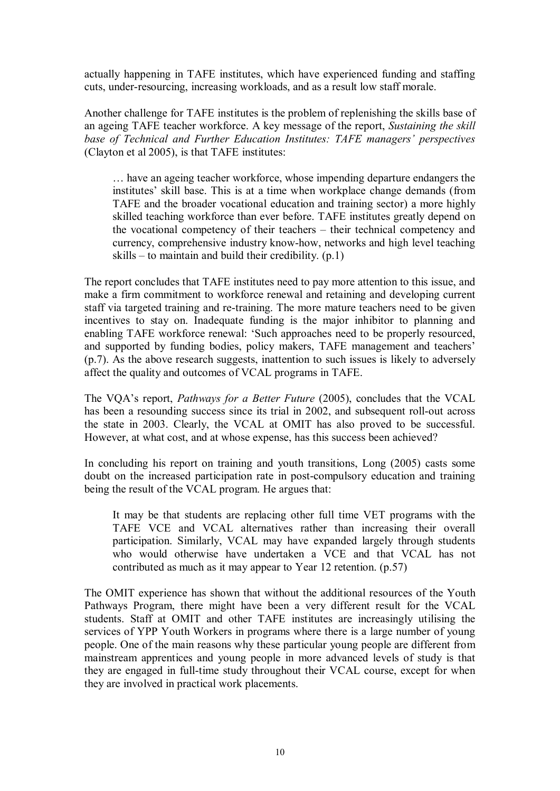actually happening in TAFE institutes, which have experienced funding and staffing cuts, under-resourcing, increasing workloads, and as a result low staff morale.

Another challenge for TAFE institutes is the problem of replenishing the skills base of an ageing TAFE teacher workforce. A key message of the report, *Sustaining the skill base of Technical and Further Education Institutes: TAFE managers' perspectives* (Clayton et al 2005), is that TAFE institutes:

… have an ageing teacher workforce, whose impending departure endangers the institutes' skill base. This is at a time when workplace change demands (from TAFE and the broader vocational education and training sector) a more highly skilled teaching workforce than ever before. TAFE institutes greatly depend on the vocational competency of their teachers – their technical competency and currency, comprehensive industry know-how, networks and high level teaching skills – to maintain and build their credibility.  $(p, 1)$ 

The report concludes that TAFE institutes need to pay more attention to this issue, and make a firm commitment to workforce renewal and retaining and developing current staff via targeted training and re-training. The more mature teachers need to be given incentives to stay on. Inadequate funding is the major inhibitor to planning and enabling TAFE workforce renewal: 'Such approaches need to be properly resourced, and supported by funding bodies, policy makers, TAFE management and teachers' (p.7). As the above research suggests, inattention to such issues is likely to adversely affect the quality and outcomes of VCAL programs in TAFE.

The VQA's report, *Pathways for a Better Future* (2005), concludes that the VCAL has been a resounding success since its trial in 2002, and subsequent roll-out across the state in 2003. Clearly, the VCAL at OMIT has also proved to be successful. However, at what cost, and at whose expense, has this success been achieved?

In concluding his report on training and youth transitions, Long (2005) casts some doubt on the increased participation rate in post-compulsory education and training being the result of the VCAL program. He argues that:

It may be that students are replacing other full time VET programs with the TAFE VCE and VCAL alternatives rather than increasing their overall participation. Similarly, VCAL may have expanded largely through students who would otherwise have undertaken a VCE and that VCAL has not contributed as much as it may appear to Year 12 retention. (p.57)

The OMIT experience has shown that without the additional resources of the Youth Pathways Program, there might have been a very different result for the VCAL students. Staff at OMIT and other TAFE institutes are increasingly utilising the services of YPP Youth Workers in programs where there is a large number of young people. One of the main reasons why these particular young people are different from mainstream apprentices and young people in more advanced levels of study is that they are engaged in full-time study throughout their VCAL course, except for when they are involved in practical work placements.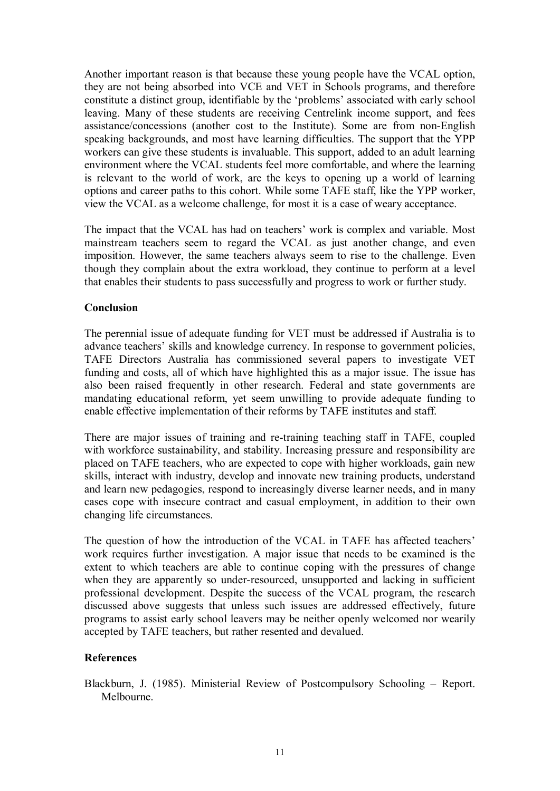Another important reason is that because these young people have the VCAL option, they are not being absorbed into VCE and VET in Schools programs, and therefore constitute a distinct group, identifiable by the 'problems' associated with early school leaving. Many of these students are receiving Centrelink income support, and fees assistance/concessions (another cost to the Institute). Some are from non-English speaking backgrounds, and most have learning difficulties. The support that the YPP workers can give these students is invaluable. This support, added to an adult learning environment where the VCAL students feel more comfortable, and where the learning is relevant to the world of work, are the keys to opening up a world of learning options and career paths to this cohort. While some TAFE staff, like the YPP worker, view the VCAL as a welcome challenge, for most it is a case of weary acceptance.

The impact that the VCAL has had on teachers' work is complex and variable. Most mainstream teachers seem to regard the VCAL as just another change, and even imposition. However, the same teachers always seem to rise to the challenge. Even though they complain about the extra workload, they continue to perform at a level that enables their students to pass successfully and progress to work or further study.

#### **Conclusion**

The perennial issue of adequate funding for VET must be addressed if Australia is to advance teachers' skills and knowledge currency. In response to government policies, TAFE Directors Australia has commissioned several papers to investigate VET funding and costs, all of which have highlighted this as a major issue. The issue has also been raised frequently in other research. Federal and state governments are mandating educational reform, yet seem unwilling to provide adequate funding to enable effective implementation of their reforms by TAFE institutes and staff.

There are major issues of training and re-training teaching staff in TAFE, coupled with workforce sustainability, and stability. Increasing pressure and responsibility are placed on TAFE teachers, who are expected to cope with higher workloads, gain new skills, interact with industry, develop and innovate new training products, understand and learn new pedagogies, respond to increasingly diverse learner needs, and in many cases cope with insecure contract and casual employment, in addition to their own changing life circumstances.

The question of how the introduction of the VCAL in TAFE has affected teachers' work requires further investigation. A major issue that needs to be examined is the extent to which teachers are able to continue coping with the pressures of change when they are apparently so under-resourced, unsupported and lacking in sufficient professional development. Despite the success of the VCAL program, the research discussed above suggests that unless such issues are addressed effectively, future programs to assist early school leavers may be neither openly welcomed nor wearily accepted by TAFE teachers, but rather resented and devalued.

## **References**

Blackburn, J. (1985). Ministerial Review of Postcompulsory Schooling – Report. Melbourne.